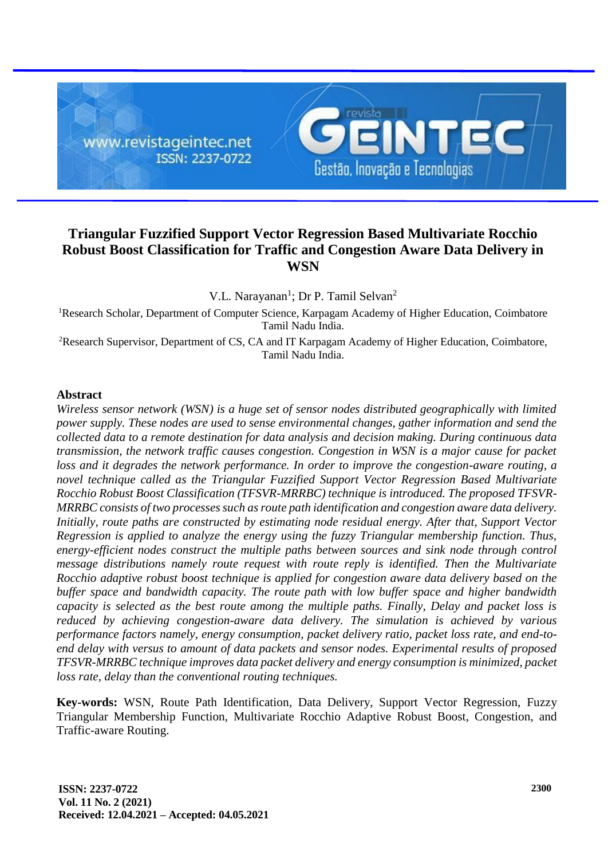

# **Triangular Fuzzified Support Vector Regression Based Multivariate Rocchio Robust Boost Classification for Traffic and Congestion Aware Data Delivery in WSN**

V.L. Narayanan<sup>1</sup>; Dr P. Tamil Selvan<sup>2</sup>

<sup>1</sup>Research Scholar, Department of Computer Science, Karpagam Academy of Higher Education, Coimbatore Tamil Nadu India.

<sup>2</sup>Research Supervisor, Department of CS, CA and IT Karpagam Academy of Higher Education, Coimbatore, Tamil Nadu India.

# **Abstract**

*Wireless sensor network (WSN) is a huge set of sensor nodes distributed geographically with limited power supply. These nodes are used to sense environmental changes, gather information and send the collected data to a remote destination for data analysis and decision making. During continuous data transmission, the network traffic causes congestion. Congestion in WSN is a major cause for packet*  loss and it degrades the network performance. In order to improve the congestion-aware routing, a *novel technique called as the Triangular Fuzzified Support Vector Regression Based Multivariate Rocchio Robust Boost Classification (TFSVR-MRRBC) technique is introduced. The proposed TFSVR-MRRBC consists of two processes such as route path identification and congestion aware data delivery. Initially, route paths are constructed by estimating node residual energy. After that, Support Vector Regression is applied to analyze the energy using the fuzzy Triangular membership function. Thus, energy-efficient nodes construct the multiple paths between sources and sink node through control message distributions namely route request with route reply is identified. Then the Multivariate Rocchio adaptive robust boost technique is applied for congestion aware data delivery based on the buffer space and bandwidth capacity. The route path with low buffer space and higher bandwidth capacity is selected as the best route among the multiple paths. Finally, Delay and packet loss is reduced by achieving congestion-aware data delivery. The simulation is achieved by various performance factors namely, energy consumption, packet delivery ratio, packet loss rate, and end-toend delay with versus to amount of data packets and sensor nodes. Experimental results of proposed TFSVR-MRRBC technique improves data packet delivery and energy consumption is minimized, packet loss rate, delay than the conventional routing techniques.*

**Key-words:** WSN, Route Path Identification, Data Delivery, Support Vector Regression, Fuzzy Triangular Membership Function, Multivariate Rocchio Adaptive Robust Boost, Congestion, and Traffic-aware Routing.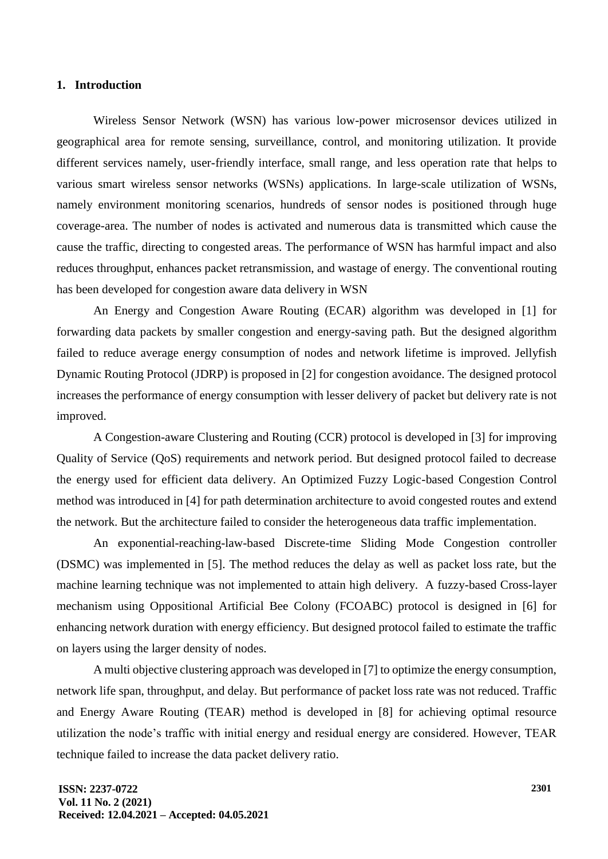### **1. Introduction**

Wireless Sensor Network (WSN) has various low-power microsensor devices utilized in geographical area for remote sensing, surveillance, control, and monitoring utilization. It provide different services namely, user-friendly interface, small range, and less operation rate that helps to various smart wireless sensor networks (WSNs) applications. In large-scale utilization of WSNs, namely environment monitoring scenarios, hundreds of sensor nodes is positioned through huge coverage-area. The number of nodes is activated and numerous data is transmitted which cause the cause the traffic, directing to congested areas. The performance of WSN has harmful impact and also reduces throughput, enhances packet retransmission, and wastage of energy. The conventional routing has been developed for congestion aware data delivery in WSN

An Energy and Congestion Aware Routing (ECAR) algorithm was developed in [1] for forwarding data packets by smaller congestion and energy-saving path. But the designed algorithm failed to reduce average energy consumption of nodes and network lifetime is improved. Jellyfish Dynamic Routing Protocol (JDRP) is proposed in [2] for congestion avoidance. The designed protocol increases the performance of energy consumption with lesser delivery of packet but delivery rate is not improved.

A Congestion-aware Clustering and Routing (CCR) protocol is developed in [3] for improving Quality of Service (QoS) requirements and network period. But designed protocol failed to decrease the energy used for efficient data delivery. An Optimized Fuzzy Logic-based Congestion Control method was introduced in [4] for path determination architecture to avoid congested routes and extend the network. But the architecture failed to consider the heterogeneous data traffic implementation.

An exponential-reaching-law-based Discrete-time Sliding Mode Congestion controller (DSMC) was implemented in [5]. The method reduces the delay as well as packet loss rate, but the machine learning technique was not implemented to attain high delivery. A fuzzy-based Cross-layer mechanism using Oppositional Artificial Bee Colony (FCOABC) protocol is designed in [6] for enhancing network duration with energy efficiency. But designed protocol failed to estimate the traffic on layers using the larger density of nodes.

A multi objective clustering approach was developed in [7] to optimize the energy consumption, network life span, throughput, and delay. But performance of packet loss rate was not reduced. Traffic and Energy Aware Routing (TEAR) method is developed in [8] for achieving optimal resource utilization the node's traffic with initial energy and residual energy are considered. However, TEAR technique failed to increase the data packet delivery ratio.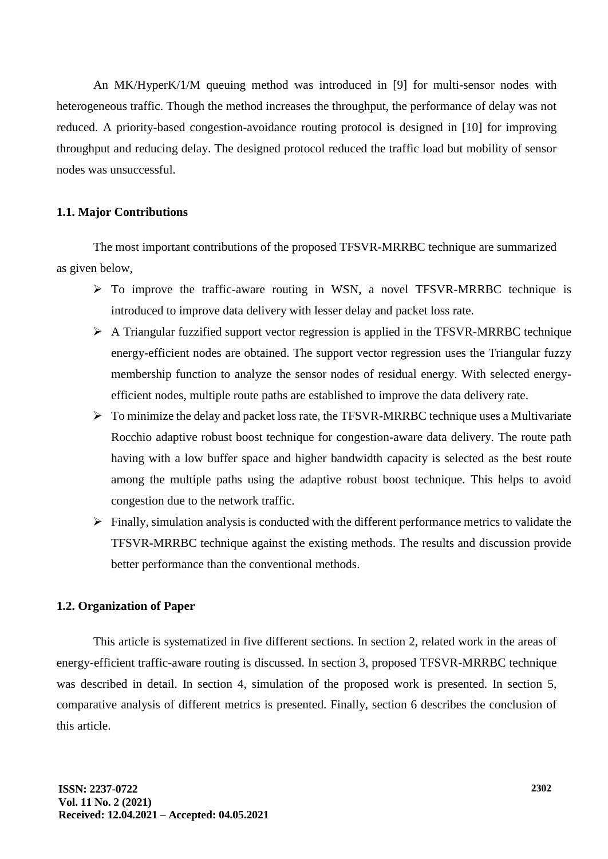An MK/HyperK/1/M queuing method was introduced in [9] for multi-sensor nodes with heterogeneous traffic. Though the method increases the throughput, the performance of delay was not reduced. A priority-based congestion-avoidance routing protocol is designed in [10] for improving throughput and reducing delay. The designed protocol reduced the traffic load but mobility of sensor nodes was unsuccessful.

# **1.1. Major Contributions**

The most important contributions of the proposed TFSVR-MRRBC technique are summarized as given below,

- ➢ To improve the traffic-aware routing in WSN, a novel TFSVR-MRRBC technique is introduced to improve data delivery with lesser delay and packet loss rate.
- ➢ A Triangular fuzzified support vector regression is applied in the TFSVR-MRRBC technique energy-efficient nodes are obtained. The support vector regression uses the Triangular fuzzy membership function to analyze the sensor nodes of residual energy. With selected energyefficient nodes, multiple route paths are established to improve the data delivery rate.
- ➢ To minimize the delay and packet loss rate, the TFSVR-MRRBC technique uses a Multivariate Rocchio adaptive robust boost technique for congestion-aware data delivery. The route path having with a low buffer space and higher bandwidth capacity is selected as the best route among the multiple paths using the adaptive robust boost technique. This helps to avoid congestion due to the network traffic.
- ➢ Finally, simulation analysis is conducted with the different performance metrics to validate the TFSVR-MRRBC technique against the existing methods. The results and discussion provide better performance than the conventional methods.

### **1.2. Organization of Paper**

This article is systematized in five different sections. In section 2, related work in the areas of energy-efficient traffic-aware routing is discussed. In section 3, proposed TFSVR-MRRBC technique was described in detail. In section 4, simulation of the proposed work is presented. In section 5, comparative analysis of different metrics is presented. Finally, section 6 describes the conclusion of this article.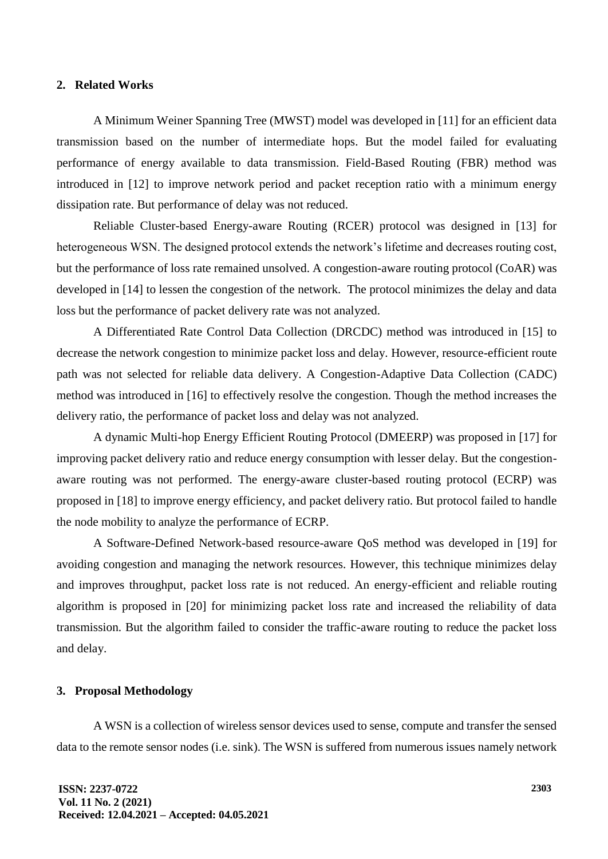# **2. Related Works**

A Minimum Weiner Spanning Tree (MWST) model was developed in [11] for an efficient data transmission based on the number of intermediate hops. But the model failed for evaluating performance of energy available to data transmission. Field-Based Routing (FBR) method was introduced in [12] to improve network period and packet reception ratio with a minimum energy dissipation rate. But performance of delay was not reduced.

Reliable Cluster-based Energy-aware Routing (RCER) protocol was designed in [13] for heterogeneous WSN. The designed protocol extends the network's lifetime and decreases routing cost, but the performance of loss rate remained unsolved. A congestion-aware routing protocol (CoAR) was developed in [14] to lessen the congestion of the network. The protocol minimizes the delay and data loss but the performance of packet delivery rate was not analyzed.

A Differentiated Rate Control Data Collection (DRCDC) method was introduced in [15] to decrease the network congestion to minimize packet loss and delay. However, resource-efficient route path was not selected for reliable data delivery. A Congestion-Adaptive Data Collection (CADC) method was introduced in [16] to effectively resolve the congestion. Though the method increases the delivery ratio, the performance of packet loss and delay was not analyzed.

A dynamic Multi-hop Energy Efficient Routing Protocol (DMEERP) was proposed in [17] for improving packet delivery ratio and reduce energy consumption with lesser delay. But the congestionaware routing was not performed. The energy-aware cluster-based routing protocol (ECRP) was proposed in [18] to improve energy efficiency, and packet delivery ratio. But protocol failed to handle the node mobility to analyze the performance of ECRP.

A Software-Defined Network-based resource-aware QoS method was developed in [19] for avoiding congestion and managing the network resources. However, this technique minimizes delay and improves throughput, packet loss rate is not reduced. An energy-efficient and reliable routing algorithm is proposed in [20] for minimizing packet loss rate and increased the reliability of data transmission. But the algorithm failed to consider the traffic-aware routing to reduce the packet loss and delay.

## **3. Proposal Methodology**

A WSN is a collection of wireless sensor devices used to sense, compute and transfer the sensed data to the remote sensor nodes (i.e. sink). The WSN is suffered from numerous issues namely network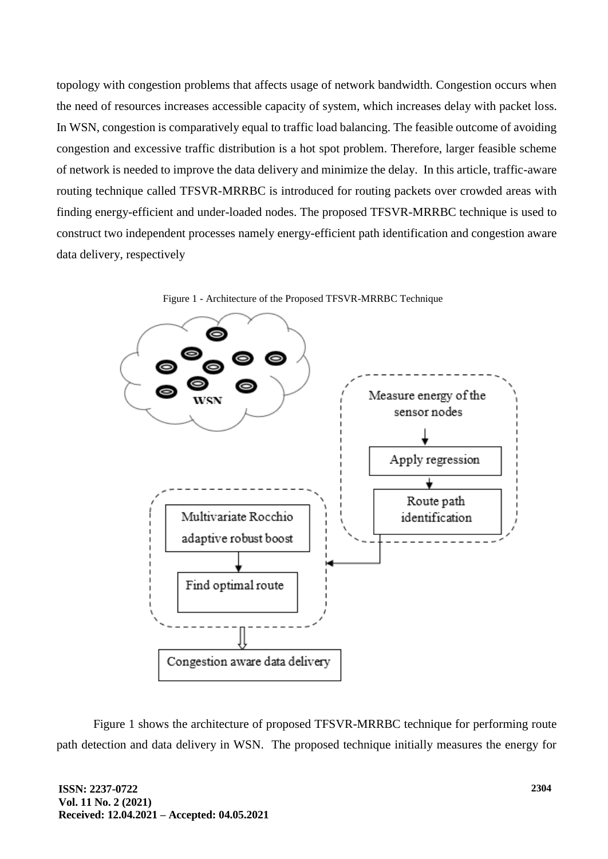topology with congestion problems that affects usage of network bandwidth. Congestion occurs when the need of resources increases accessible capacity of system, which increases delay with packet loss. In WSN, congestion is comparatively equal to traffic load balancing. The feasible outcome of avoiding congestion and excessive traffic distribution is a hot spot problem. Therefore, larger feasible scheme of network is needed to improve the data delivery and minimize the delay. In this article, traffic-aware routing technique called TFSVR-MRRBC is introduced for routing packets over crowded areas with finding energy-efficient and under-loaded nodes. The proposed TFSVR-MRRBC technique is used to construct two independent processes namely energy-efficient path identification and congestion aware data delivery, respectively





Figure 1 shows the architecture of proposed TFSVR-MRRBC technique for performing route path detection and data delivery in WSN. The proposed technique initially measures the energy for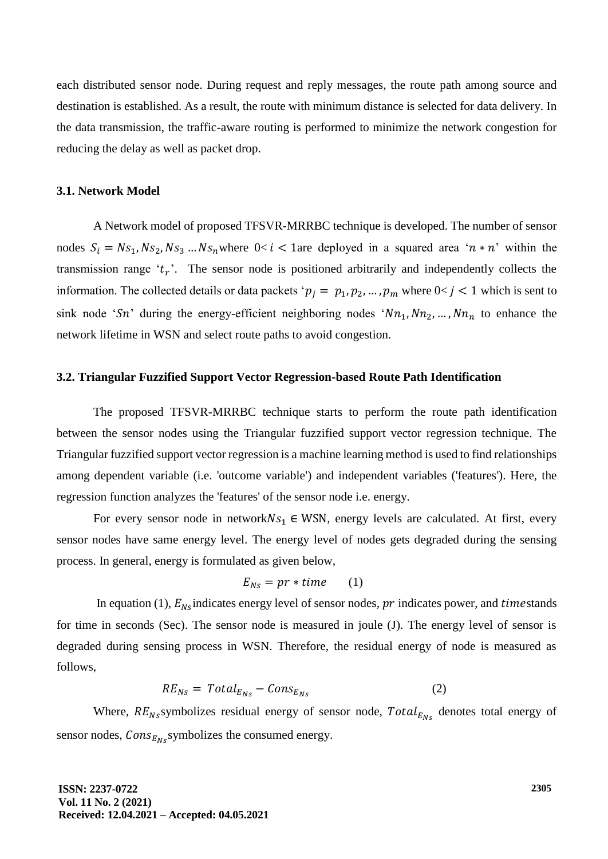each distributed sensor node. During request and reply messages, the route path among source and destination is established. As a result, the route with minimum distance is selected for data delivery. In the data transmission, the traffic-aware routing is performed to minimize the network congestion for reducing the delay as well as packet drop.

#### **3.1. Network Model**

A Network model of proposed TFSVR-MRRBC technique is developed. The number of sensor nodes  $S_i = Ns_1, Ns_2, Ns_3 ... Ns_n$  where  $0 < i < 1$  are deployed in a squared area ' $n * n$ ' within the transmission range ' $t_r$ '. The sensor node is positioned arbitrarily and independently collects the information. The collected details or data packets ' $p_j = p_1, p_2, ..., p_m$  where  $0 < j < 1$  which is sent to sink node 'Sn' during the energy-efficient neighboring nodes ' $Nn_1, Nn_2, \ldots, Nn_n$  to enhance the network lifetime in WSN and select route paths to avoid congestion.

### **3.2. Triangular Fuzzified Support Vector Regression-based Route Path Identification**

The proposed TFSVR-MRRBC technique starts to perform the route path identification between the sensor nodes using the Triangular fuzzified support vector regression technique. The Triangular fuzzified support vector regression is a machine learning method is used to find relationships among dependent variable (i.e. 'outcome variable') and independent variables ('features'). Here, the regression function analyzes the 'features' of the sensor node i.e. energy.

For every sensor node in network $Ns_1 \in WSN$ , energy levels are calculated. At first, every sensor nodes have same energy level. The energy level of nodes gets degraded during the sensing process. In general, energy is formulated as given below,

$$
E_{Ns} = pr * time \qquad (1)
$$

In equation (1),  $E_{Ns}$  indicates energy level of sensor nodes,  $pr$  indicates power, and timestands for time in seconds (Sec). The sensor node is measured in joule (J). The energy level of sensor is degraded during sensing process in WSN. Therefore, the residual energy of node is measured as follows,

$$
RE_{Ns} = Total_{E_{Ns}} - Cons_{E_{Ns}} \tag{2}
$$

Where,  $RE_{Ns}$ symbolizes residual energy of sensor node,  $Total_{E_{Ns}}$  denotes total energy of sensor nodes,  $Cons_{E_{N_s}}$ symbolizes the consumed energy.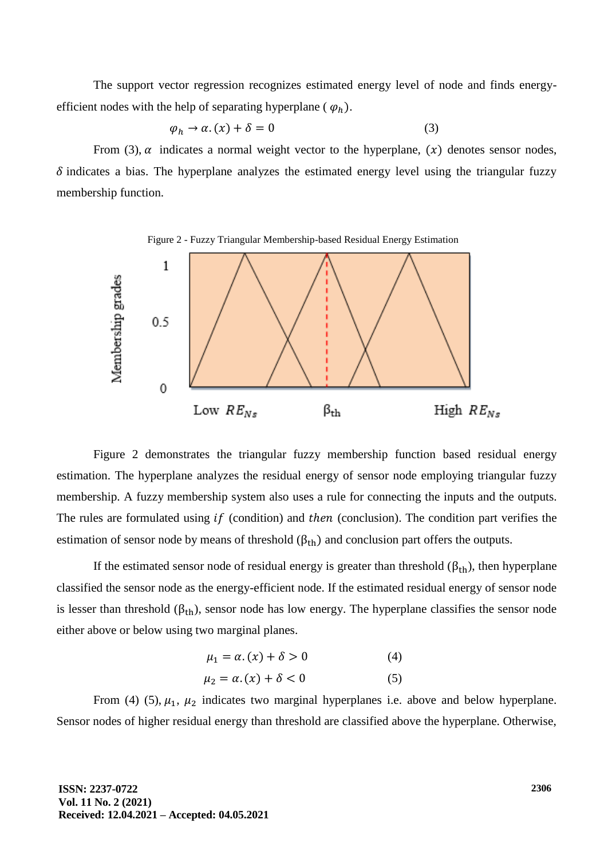The support vector regression recognizes estimated energy level of node and finds energyefficient nodes with the help of separating hyperplane ( $\varphi_h$ ).

$$
\varphi_h \to \alpha. \, (\chi) + \delta = 0 \tag{3}
$$

From (3),  $\alpha$  indicates a normal weight vector to the hyperplane, (x) denotes sensor nodes,  $\delta$  indicates a bias. The hyperplane analyzes the estimated energy level using the triangular fuzzy membership function.



Figure 2 demonstrates the triangular fuzzy membership function based residual energy estimation. The hyperplane analyzes the residual energy of sensor node employing triangular fuzzy membership. A fuzzy membership system also uses a rule for connecting the inputs and the outputs. The rules are formulated using  $if$  (condition) and then (conclusion). The condition part verifies the estimation of sensor node by means of threshold  $(\beta_{th})$  and conclusion part offers the outputs.

If the estimated sensor node of residual energy is greater than threshold  $(\beta_{th})$ , then hyperplane classified the sensor node as the energy-efficient node. If the estimated residual energy of sensor node is lesser than threshold  $(\beta_{th})$ , sensor node has low energy. The hyperplane classifies the sensor node either above or below using two marginal planes.

$$
\mu_1 = \alpha. (x) + \delta > 0 \tag{4}
$$

$$
\mu_2 = \alpha. (x) + \delta < 0 \tag{5}
$$

From (4) (5),  $\mu_1$ ,  $\mu_2$  indicates two marginal hyperplanes i.e. above and below hyperplane. Sensor nodes of higher residual energy than threshold are classified above the hyperplane. Otherwise,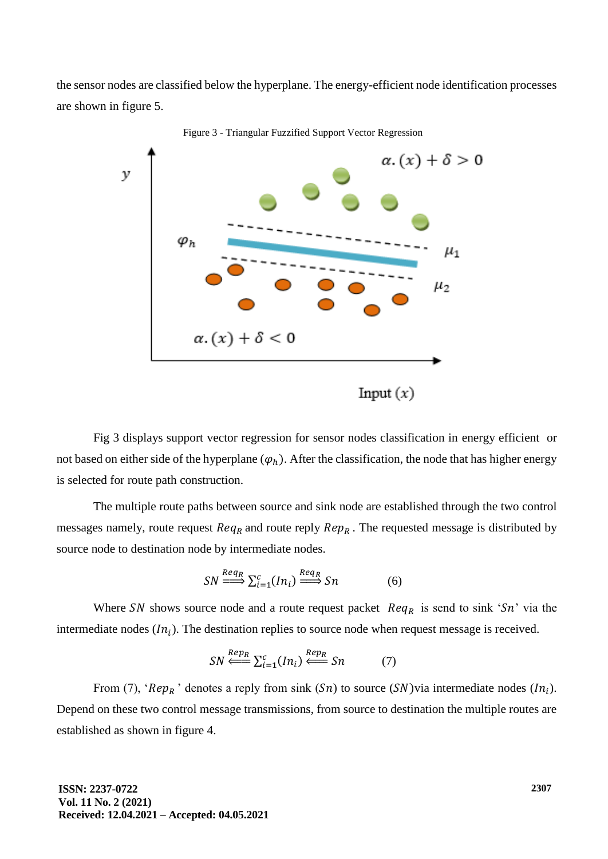the sensor nodes are classified below the hyperplane. The energy-efficient node identification processes are shown in figure 5.



Figure 3 - Triangular Fuzzified Support Vector Regression

Fig 3 displays support vector regression for sensor nodes classification in energy efficient or not based on either side of the hyperplane  $(\varphi_h)$ . After the classification, the node that has higher energy is selected for route path construction.

The multiple route paths between source and sink node are established through the two control messages namely, route request  $Req_R$  and route reply  $Rep_R$ . The requested message is distributed by source node to destination node by intermediate nodes.

$$
SN \stackrel{Req_R}{\Longrightarrow} \sum_{i=1}^{c} (In_i) \stackrel{Req_R}{\Longrightarrow} Sn \tag{6}
$$

Where SN shows source node and a route request packet  $Req_R$  is send to sink 'Sn' via the intermediate nodes  $(ln_i)$ . The destination replies to source node when request message is received.

$$
SN \stackrel{Rep_R}{\Longleftarrow} \sum_{i=1}^{c} (In_i) \stackrel{Rep_R}{\Longleftarrow} Sn \tag{7}
$$

From (7), ' $\mathbb{R}e p_R$ ' denotes a reply from sink  $(\mathbb{S}n)$  to source  $(\mathbb{S}N)$ via intermediate nodes  $(\mathbb{I}n_i)$ . Depend on these two control message transmissions, from source to destination the multiple routes are established as shown in figure 4.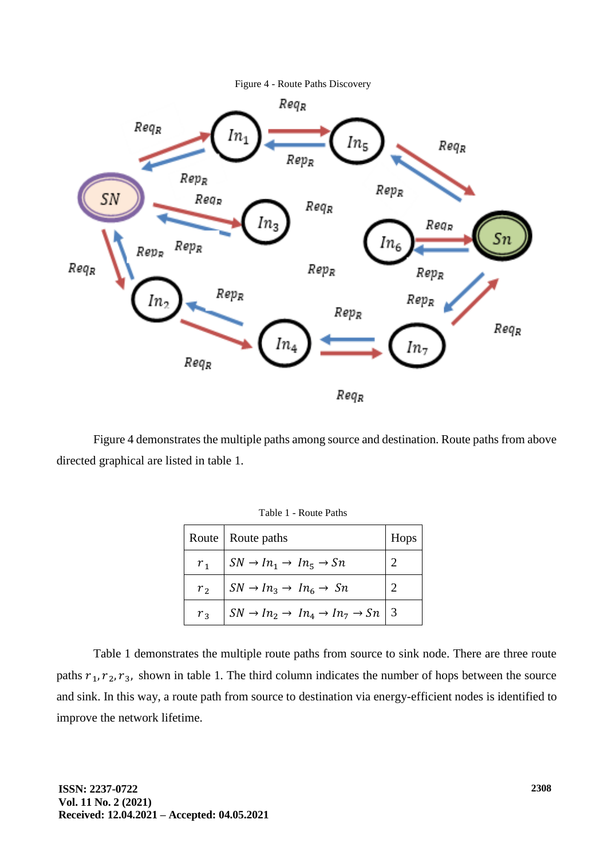



Figure 4 demonstrates the multiple paths among source and destination. Route paths from above directed graphical are listed in table 1.

|                | Route   Route paths                                                      | Hops |
|----------------|--------------------------------------------------------------------------|------|
| r <sub>1</sub> | $\mid SN \rightarrow In_1 \rightarrow In_5 \rightarrow Sn$               |      |
| r <sub>2</sub> | $SN \rightarrow In_3 \rightarrow In_6 \rightarrow Sn$                    |      |
| r <sub>3</sub> | $SN \rightarrow In_2 \rightarrow In_4 \rightarrow In_7 \rightarrow Sn$ 3 |      |

Table 1 demonstrates the multiple route paths from source to sink node. There are three route paths  $r_1, r_2, r_3$ , shown in table 1. The third column indicates the number of hops between the source and sink. In this way, a route path from source to destination via energy-efficient nodes is identified to improve the network lifetime.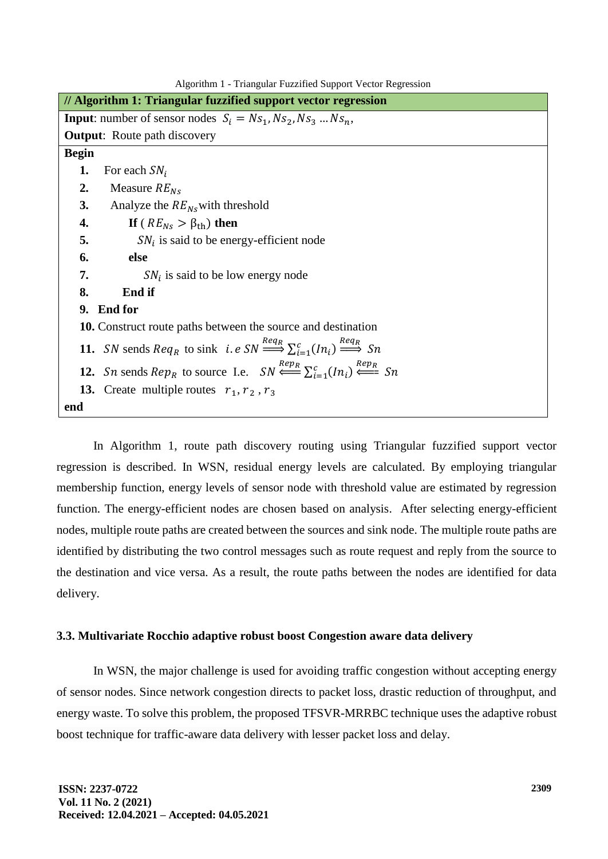Algorithm 1 - Triangular Fuzzified Support Vector Regression

|              | // Algorithm 1: Triangular fuzzified support vector regression                                                                             |
|--------------|--------------------------------------------------------------------------------------------------------------------------------------------|
|              | <b>Input:</b> number of sensor nodes $S_i = Ns_1, Ns_2, Ns_3  Ns_n$ ,                                                                      |
|              | <b>Output:</b> Route path discovery                                                                                                        |
| <b>Begin</b> |                                                                                                                                            |
| 1.           | For each $SN_i$                                                                                                                            |
| 2.           | Measure $RE_{Ns}$                                                                                                                          |
| 3.           | Analyze the $RE_{Ns}$ with threshold                                                                                                       |
| 4.           | If ( $RE_{Ns} > \beta_{th}$ ) then                                                                                                         |
| 5.           | $SN_i$ is said to be energy-efficient node                                                                                                 |
| 6.           | else                                                                                                                                       |
| 7.           | $SN_i$ is said to be low energy node                                                                                                       |
| 8.           | End if                                                                                                                                     |
| 9.           | <b>End for</b>                                                                                                                             |
|              | <b>10.</b> Construct route paths between the source and destination                                                                        |
|              | 11. SN sends $Req_R$ to sink <i>i.e SN</i> $\xrightarrow{Req_R} \sum_{i=1}^{c} (In_i) \xrightarrow{Req_R} Sn$                              |
|              | 12. <i>Sn</i> sends $Rep_R$ to source I.e. $SN \stackrel{Rep_R}{\Longleftarrow} \sum_{i=1}^{c} (In_i) \stackrel{Rep_R}{\Longleftarrow} Sn$ |
|              | <b>13.</b> Create multiple routes $r_1, r_2, r_3$                                                                                          |
| end          |                                                                                                                                            |

In Algorithm 1, route path discovery routing using Triangular fuzzified support vector regression is described. In WSN, residual energy levels are calculated. By employing triangular membership function, energy levels of sensor node with threshold value are estimated by regression function. The energy-efficient nodes are chosen based on analysis. After selecting energy-efficient nodes, multiple route paths are created between the sources and sink node. The multiple route paths are identified by distributing the two control messages such as route request and reply from the source to the destination and vice versa. As a result, the route paths between the nodes are identified for data delivery.

## **3.3. Multivariate Rocchio adaptive robust boost Congestion aware data delivery**

In WSN, the major challenge is used for avoiding traffic congestion without accepting energy of sensor nodes. Since network congestion directs to packet loss, drastic reduction of throughput, and energy waste. To solve this problem, the proposed TFSVR-MRRBC technique uses the adaptive robust boost technique for traffic-aware data delivery with lesser packet loss and delay.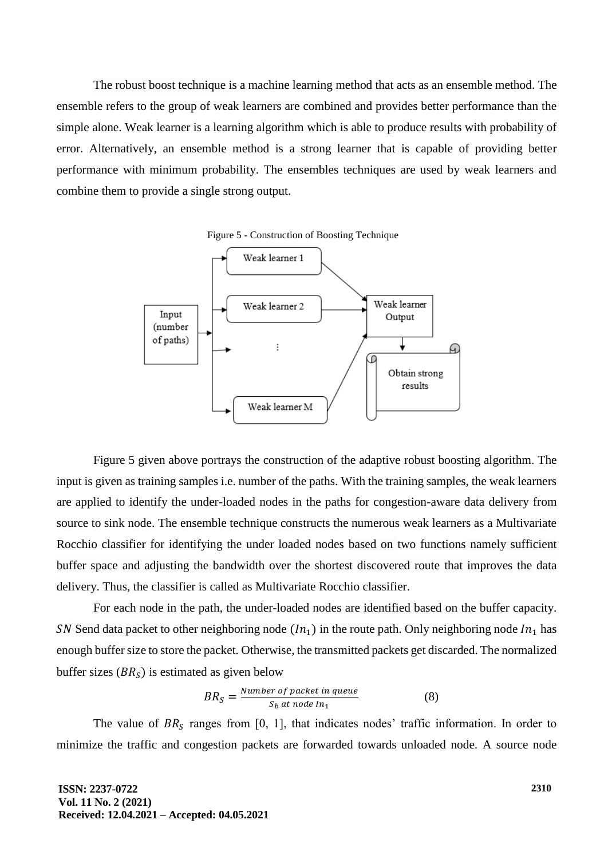The robust boost technique is a machine learning method that acts as an ensemble method. The ensemble refers to the group of weak learners are combined and provides better performance than the simple alone. Weak learner is a learning algorithm which is able to produce results with probability of error. Alternatively, an ensemble method is a strong learner that is capable of providing better performance with minimum probability. The ensembles techniques are used by weak learners and combine them to provide a single strong output.



Figure 5 given above portrays the construction of the adaptive robust boosting algorithm. The input is given as training samples i.e. number of the paths. With the training samples, the weak learners are applied to identify the under-loaded nodes in the paths for congestion-aware data delivery from source to sink node. The ensemble technique constructs the numerous weak learners as a Multivariate Rocchio classifier for identifying the under loaded nodes based on two functions namely sufficient buffer space and adjusting the bandwidth over the shortest discovered route that improves the data delivery. Thus, the classifier is called as Multivariate Rocchio classifier.

For each node in the path, the under-loaded nodes are identified based on the buffer capacity. SN Send data packet to other neighboring node  $(In_1)$  in the route path. Only neighboring node  $In_1$  has enough buffer size to store the packet. Otherwise, the transmitted packets get discarded. The normalized buffer sizes  $(BR<sub>S</sub>)$  is estimated as given below

$$
BR_S = \frac{Number\ of\ packet\ in\ queue}{S_b\ at\ node\ In_1}
$$
 (8)

The value of  $BR<sub>S</sub>$  ranges from [0, 1], that indicates nodes' traffic information. In order to minimize the traffic and congestion packets are forwarded towards unloaded node. A source node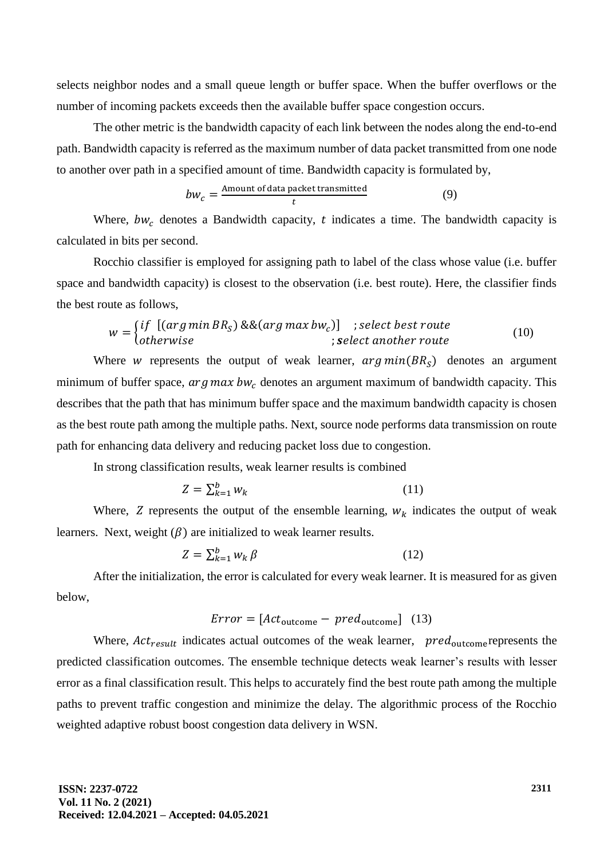selects neighbor nodes and a small queue length or buffer space. When the buffer overflows or the number of incoming packets exceeds then the available buffer space congestion occurs.

The other metric is the bandwidth capacity of each link between the nodes along the end-to-end path. Bandwidth capacity is referred as the maximum number of data packet transmitted from one node to another over path in a specified amount of time. Bandwidth capacity is formulated by,

$$
bw_c = \frac{\text{Amount of data packet transmitted}}{t}
$$
 (9)

Where,  $bw_c$  denotes a Bandwidth capacity, t indicates a time. The bandwidth capacity is calculated in bits per second.

Rocchio classifier is employed for assigning path to label of the class whose value (i.e. buffer space and bandwidth capacity) is closest to the observation (i.e. best route). Here, the classifier finds the best route as follows,

$$
w = \begin{cases} if \ [(\arg\min BR_S) \& \& (\arg\max bw_c)] \\ otherwise \end{cases} ; select\ the set\ route \\ \text{; select\ another\ route} \end{cases} \tag{10}
$$

Where *w* represents the output of weak learner,  $arg min(BR<sub>S</sub>)$  denotes an argument minimum of buffer space,  $arg max bw<sub>c</sub>$  denotes an argument maximum of bandwidth capacity. This describes that the path that has minimum buffer space and the maximum bandwidth capacity is chosen as the best route path among the multiple paths. Next, source node performs data transmission on route path for enhancing data delivery and reducing packet loss due to congestion.

In strong classification results, weak learner results is combined

$$
Z = \sum_{k=1}^{b} w_k \tag{11}
$$

Where,  $Z$  represents the output of the ensemble learning,  $w_k$  indicates the output of weak learners. Next, weight  $(\beta)$  are initialized to weak learner results.

$$
Z = \sum_{k=1}^{b} w_k \beta \tag{12}
$$

After the initialization, the error is calculated for every weak learner. It is measured for as given below,

# $Error = [Act_{\text{outcome}} - pred_{\text{outcome}}]$  (13)

Where,  $Act_{result}$  indicates actual outcomes of the weak learner,  $pred_{outcome}$  represents the predicted classification outcomes. The ensemble technique detects weak learner's results with lesser error as a final classification result. This helps to accurately find the best route path among the multiple paths to prevent traffic congestion and minimize the delay. The algorithmic process of the Rocchio weighted adaptive robust boost congestion data delivery in WSN.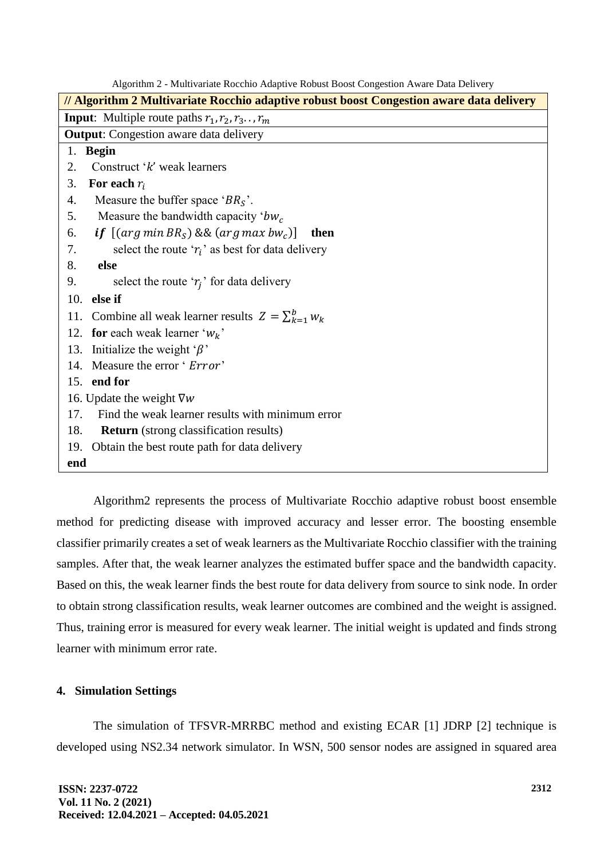| // Algorithm 2 Multivariate Rocchio adaptive robust boost Congestion aware data delivery |  |  |  |
|------------------------------------------------------------------------------------------|--|--|--|
| <b>Input:</b> Multiple route paths $r_1, r_2, r_3, \ldots, r_m$                          |  |  |  |
| <b>Output:</b> Congestion aware data delivery                                            |  |  |  |
| <b>Begin</b><br>1.                                                                       |  |  |  |
| Construct 'k' weak learners<br>2.                                                        |  |  |  |
| For each $r_i$<br>3.                                                                     |  |  |  |
| Measure the buffer space ' $BRS$ '.<br>4.                                                |  |  |  |
| Measure the bandwidth capacity ' $bw_c$<br>5.                                            |  |  |  |
| <b>if</b> $[(arg min BRS)$ && $(arg max bwc)]$<br>6.<br>then                             |  |  |  |
| select the route ' $r_i$ ' as best for data delivery<br>7.                               |  |  |  |
| 8.<br>else                                                                               |  |  |  |
| 9.<br>select the route ' $r_i$ ' for data delivery                                       |  |  |  |
| else if<br>10.                                                                           |  |  |  |
| Combine all weak learner results $Z = \sum_{k=1}^{b} w_k$<br>11.                         |  |  |  |
| for each weak learner ' $W_k$ '<br>12.                                                   |  |  |  |
| Initialize the weight ' $\beta$ '<br>13.                                                 |  |  |  |
| Measure the error ' <i>Error</i> '<br>14.                                                |  |  |  |
| 15. end for                                                                              |  |  |  |
| 16. Update the weight $\nabla w$                                                         |  |  |  |
| Find the weak learner results with minimum error<br>17.                                  |  |  |  |
| 18.<br><b>Return</b> (strong classification results)                                     |  |  |  |
| Obtain the best route path for data delivery<br>19.                                      |  |  |  |
| end                                                                                      |  |  |  |

Algorithm 2 - Multivariate Rocchio Adaptive Robust Boost Congestion Aware Data Delivery

Algorithm2 represents the process of Multivariate Rocchio adaptive robust boost ensemble method for predicting disease with improved accuracy and lesser error. The boosting ensemble classifier primarily creates a set of weak learners as the Multivariate Rocchio classifier with the training samples. After that, the weak learner analyzes the estimated buffer space and the bandwidth capacity. Based on this, the weak learner finds the best route for data delivery from source to sink node. In order to obtain strong classification results, weak learner outcomes are combined and the weight is assigned. Thus, training error is measured for every weak learner. The initial weight is updated and finds strong learner with minimum error rate.

# **4. Simulation Settings**

The simulation of TFSVR-MRRBC method and existing ECAR [1] JDRP [2] technique is developed using NS2.34 network simulator. In WSN, 500 sensor nodes are assigned in squared area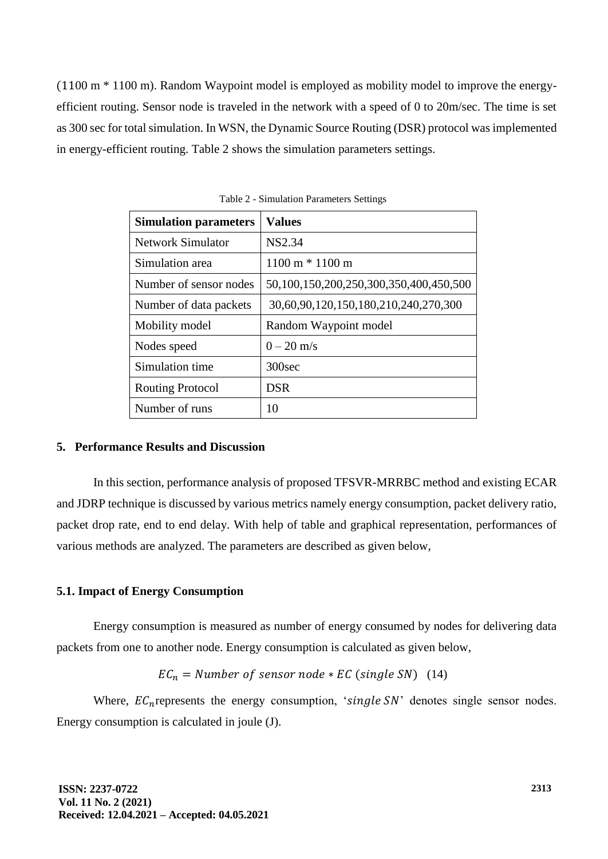(1100 m \* 1100 m). Random Waypoint model is employed as mobility model to improve the energyefficient routing. Sensor node is traveled in the network with a speed of 0 to 20m/sec. The time is set as 300 sec for total simulation. In WSN, the Dynamic Source Routing (DSR) protocol was implemented in energy-efficient routing. Table 2 shows the simulation parameters settings.

| <b>Simulation parameters</b> | <b>Values</b>                          |  |  |
|------------------------------|----------------------------------------|--|--|
| <b>Network Simulator</b>     | NS2.34                                 |  |  |
| Simulation area              | $1100 \text{ m} * 1100 \text{ m}$      |  |  |
| Number of sensor nodes       | 50,100,150,200,250,300,350,400,450,500 |  |  |
| Number of data packets       | 30,60,90,120,150,180,210,240,270,300   |  |  |
| Mobility model               | Random Waypoint model                  |  |  |
| Nodes speed                  | $0 - 20$ m/s                           |  |  |
| Simulation time              | 300 <sub>sec</sub>                     |  |  |
| <b>Routing Protocol</b>      | <b>DSR</b>                             |  |  |
| Number of runs               | 10                                     |  |  |

Table 2 - Simulation Parameters Settings

## **5. Performance Results and Discussion**

In this section, performance analysis of proposed TFSVR-MRRBC method and existing ECAR and JDRP technique is discussed by various metrics namely energy consumption, packet delivery ratio, packet drop rate, end to end delay. With help of table and graphical representation, performances of various methods are analyzed. The parameters are described as given below,

# **5.1. Impact of Energy Consumption**

Energy consumption is measured as number of energy consumed by nodes for delivering data packets from one to another node. Energy consumption is calculated as given below,

$$
EC_n = Number\ of\ sensor\ node * EC\ (single\ SN)\ \ (14)
$$

Where,  $EC_n$  represents the energy consumption, 'single SN' denotes single sensor nodes. Energy consumption is calculated in joule (J).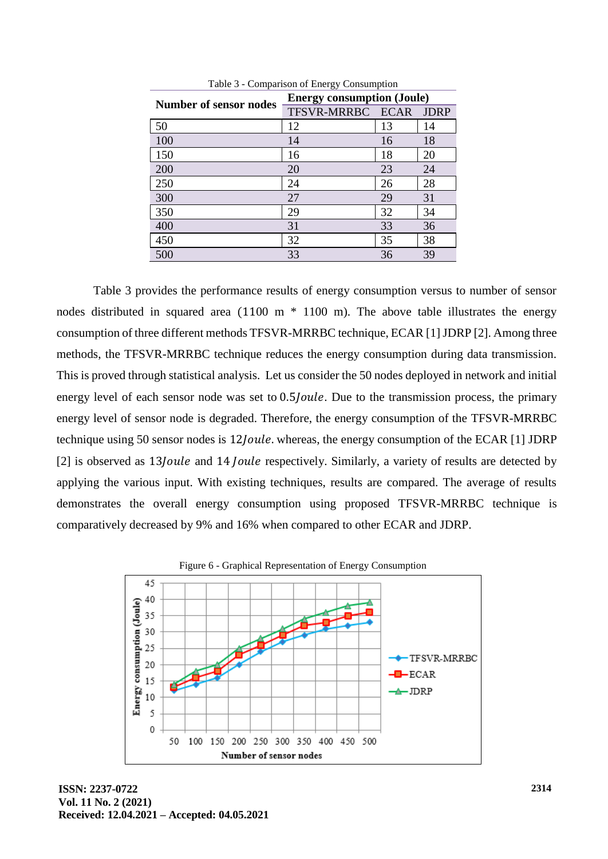| Number of sensor nodes | <b>Energy consumption (Joule)</b> |    |             |
|------------------------|-----------------------------------|----|-------------|
|                        | TFSVR-MRRBC ECAR                  |    | <b>JDRP</b> |
| 50                     | 12                                | 13 | 14          |
| 100                    | 14                                | 16 | 18          |
| 150                    | 16                                | 18 | 20          |
| 200                    | 20                                | 23 | 24          |
| 250                    | 24                                | 26 | 28          |
| 300                    | 27                                | 29 | 31          |
| 350                    | 29                                | 32 | 34          |
| 400                    | 31                                | 33 | 36          |
| 450                    | 32                                | 35 | 38          |
| 500                    | 33                                | 36 | 39          |

Table 3 - Comparison of Energy Consumption

Table 3 provides the performance results of energy consumption versus to number of sensor nodes distributed in squared area  $(1100 \text{ m} * 1100 \text{ m})$ . The above table illustrates the energy consumption of three different methods TFSVR-MRRBC technique, ECAR [1] JDRP [2]. Among three methods, the TFSVR-MRRBC technique reduces the energy consumption during data transmission. This is proved through statistical analysis. Let us consider the 50 nodes deployed in network and initial energy level of each sensor node was set to 0.5/*oule*. Due to the transmission process, the primary energy level of sensor node is degraded. Therefore, the energy consumption of the TFSVR-MRRBC technique using 50 sensor nodes is 12*Joule*. whereas, the energy consumption of the ECAR [1] JDRP  $[2]$  is observed as 13*Joule* and 14 *Joule* respectively. Similarly, a variety of results are detected by applying the various input. With existing techniques, results are compared. The average of results demonstrates the overall energy consumption using proposed TFSVR-MRRBC technique is comparatively decreased by 9% and 16% when compared to other ECAR and JDRP.



Figure 6 - Graphical Representation of Energy Consumption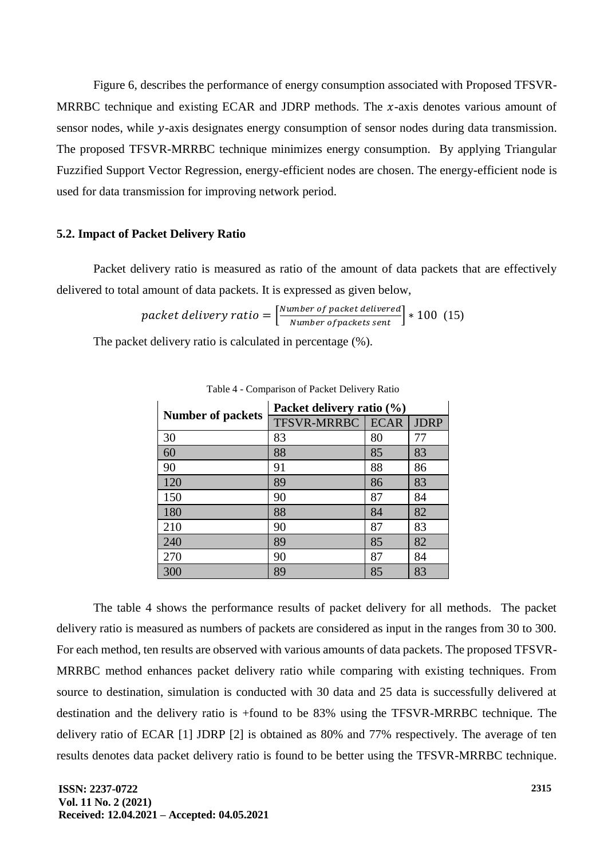Figure 6, describes the performance of energy consumption associated with Proposed TFSVR-MRRBC technique and existing ECAR and JDRP methods. The  $x$ -axis denotes various amount of sensor nodes, while y-axis designates energy consumption of sensor nodes during data transmission. The proposed TFSVR-MRRBC technique minimizes energy consumption. By applying Triangular Fuzzified Support Vector Regression, energy-efficient nodes are chosen. The energy-efficient node is used for data transmission for improving network period.

### **5.2. Impact of Packet Delivery Ratio**

Packet delivery ratio is measured as ratio of the amount of data packets that are effectively delivered to total amount of data packets. It is expressed as given below,

$$
packet \ delivery \ ratio = \left[\frac{Number \ of \ packet \ delivered}{Number \ of \ packets \ sent}\right] * 100 \ (15)
$$

The packet delivery ratio is calculated in percentage (%).

| <b>Number of packets</b> | Packet delivery ratio (%) |             |             |
|--------------------------|---------------------------|-------------|-------------|
|                          | <b>TFSVR-MRRBC</b>        | <b>ECAR</b> | <b>JDRP</b> |
| 30                       | 83                        | 80          | 77          |
| 60                       | 88                        | 85          | 83          |
| 90                       | 91                        | 88          | 86          |
| 120                      | 89                        | 86          | 83          |
| 150                      | 90                        | 87          | 84          |
| 180                      | 88                        | 84          | 82          |
| 210                      | 90                        | 87          | 83          |
| 240                      | 89                        | 85          | 82          |
| 270                      | 90                        | 87          | 84          |
| 300                      | 89                        | 85          | 83          |

Table 4 - Comparison of Packet Delivery Ratio

The table 4 shows the performance results of packet delivery for all methods. The packet delivery ratio is measured as numbers of packets are considered as input in the ranges from 30 to 300. For each method, ten results are observed with various amounts of data packets. The proposed TFSVR-MRRBC method enhances packet delivery ratio while comparing with existing techniques. From source to destination, simulation is conducted with 30 data and 25 data is successfully delivered at destination and the delivery ratio is +found to be 83% using the TFSVR-MRRBC technique. The delivery ratio of ECAR [1] JDRP [2] is obtained as 80% and 77% respectively. The average of ten results denotes data packet delivery ratio is found to be better using the TFSVR-MRRBC technique.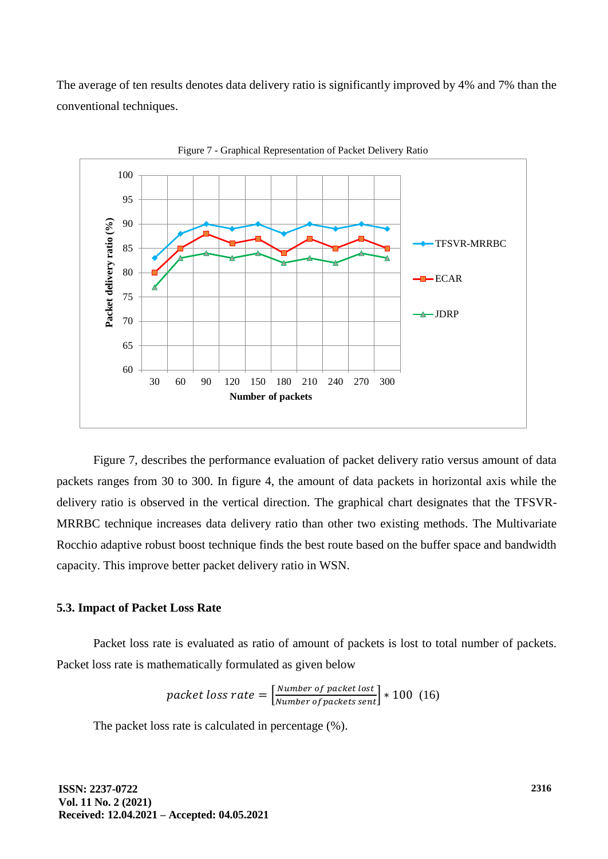The average of ten results denotes data delivery ratio is significantly improved by 4% and 7% than the conventional techniques.



Figure 7 - Graphical Representation of Packet Delivery Ratio

Figure 7, describes the performance evaluation of packet delivery ratio versus amount of data packets ranges from 30 to 300. In figure 4, the amount of data packets in horizontal axis while the delivery ratio is observed in the vertical direction. The graphical chart designates that the TFSVR-MRRBC technique increases data delivery ratio than other two existing methods. The Multivariate Rocchio adaptive robust boost technique finds the best route based on the buffer space and bandwidth capacity. This improve better packet delivery ratio in WSN.

## **5.3. Impact of Packet Loss Rate**

Packet loss rate is evaluated as ratio of amount of packets is lost to total number of packets. Packet loss rate is mathematically formulated as given below

$$
packet \text{ loss rate} = \left[\frac{Number \text{ of packet lost}}{Number \text{ of packets sent}}\right] * 100 \tag{16}
$$

The packet loss rate is calculated in percentage (%).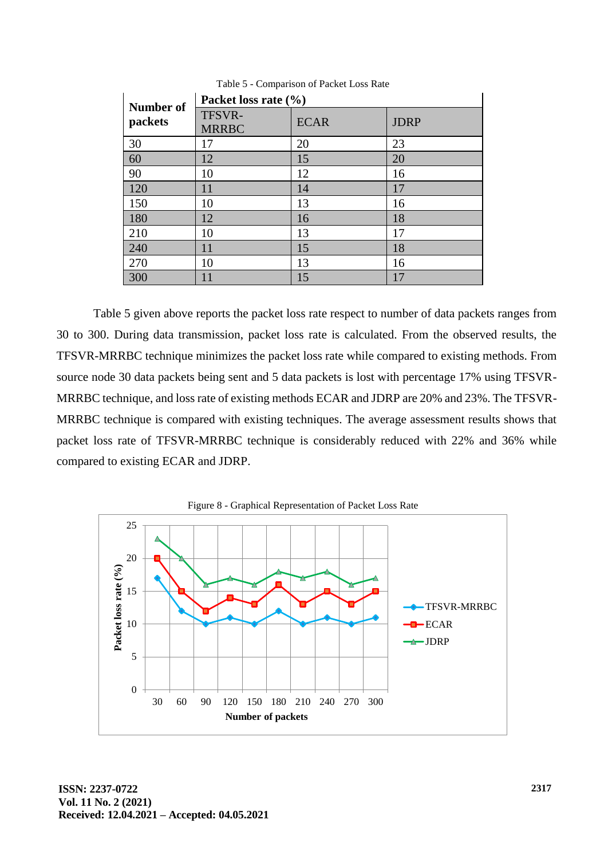| Number of | Packet loss rate $(\% )$ |             |             |  |
|-----------|--------------------------|-------------|-------------|--|
| packets   | TFSVR-<br><b>MRRBC</b>   | <b>ECAR</b> | <b>JDRP</b> |  |
| 30        | 17                       | 20          | 23          |  |
| 60        | 12                       | 15          | 20          |  |
| 90        | 10                       | 12          | 16          |  |
| 120       | 11                       | 14          | 17          |  |
| 150       | 10                       | 13          | 16          |  |
| 180       | 12                       | 16          | 18          |  |
| 210       | 10                       | 13          | 17          |  |
| 240       | 11                       | 15          | 18          |  |
| 270       | 10                       | 13          | 16          |  |
| 300       | 11                       | 15          | 17          |  |

Table 5 - Comparison of Packet Loss Rate

Table 5 given above reports the packet loss rate respect to number of data packets ranges from 30 to 300. During data transmission, packet loss rate is calculated. From the observed results, the TFSVR-MRRBC technique minimizes the packet loss rate while compared to existing methods. From source node 30 data packets being sent and 5 data packets is lost with percentage 17% using TFSVR-MRRBC technique, and loss rate of existing methods ECAR and JDRP are 20% and 23%. The TFSVR-MRRBC technique is compared with existing techniques. The average assessment results shows that packet loss rate of TFSVR-MRRBC technique is considerably reduced with 22% and 36% while compared to existing ECAR and JDRP.

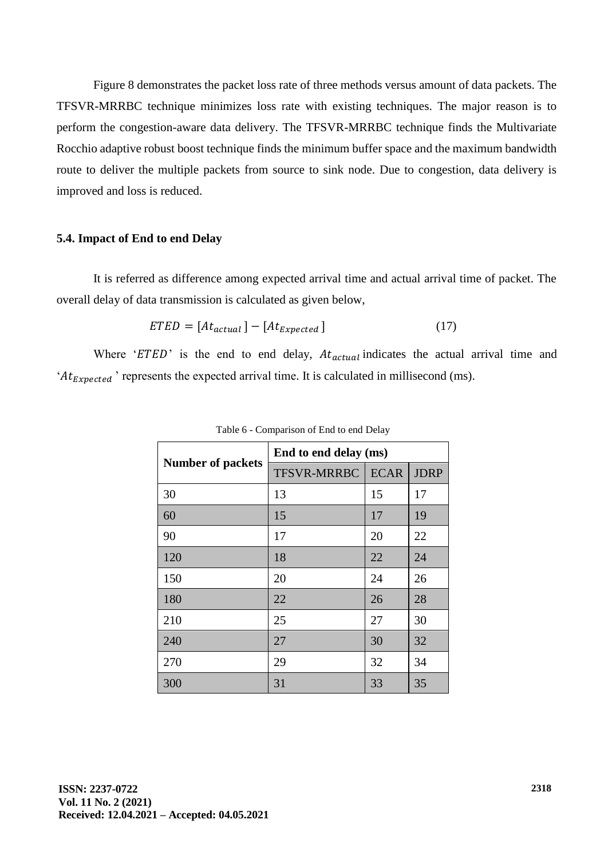Figure 8 demonstrates the packet loss rate of three methods versus amount of data packets. The TFSVR-MRRBC technique minimizes loss rate with existing techniques. The major reason is to perform the congestion-aware data delivery. The TFSVR-MRRBC technique finds the Multivariate Rocchio adaptive robust boost technique finds the minimum buffer space and the maximum bandwidth route to deliver the multiple packets from source to sink node. Due to congestion, data delivery is improved and loss is reduced.

## **5.4. Impact of End to end Delay**

It is referred as difference among expected arrival time and actual arrival time of packet. The overall delay of data transmission is calculated as given below,

$$
ETED = [At_{actual}] - [At_{Expected}] \tag{17}
$$

Where ' $ETED$ ' is the end to end delay,  $At_{actual}$  indicates the actual arrival time and ' $At_{Expected}$ ' represents the expected arrival time. It is calculated in millisecond (ms).

|                          | End to end delay (ms) |             |             |
|--------------------------|-----------------------|-------------|-------------|
| <b>Number of packets</b> | <b>TFSVR-MRRBC</b>    | <b>ECAR</b> | <b>JDRP</b> |
| 30                       | 13                    | 15          | 17          |
| 60                       | 15                    | 17          | 19          |
| 90                       | 17                    | 20          | 22          |
| 120                      | 18                    | 22          | 24          |
| 150                      | 20                    | 24          | 26          |
| 180                      | 22                    | 26          | 28          |
| 210                      | 25                    | 27          | 30          |
| 240                      | 27                    | 30          | 32          |
| 270                      | 29                    | 32          | 34          |
| 300                      | 31                    | 33          | 35          |

Table 6 - Comparison of End to end Delay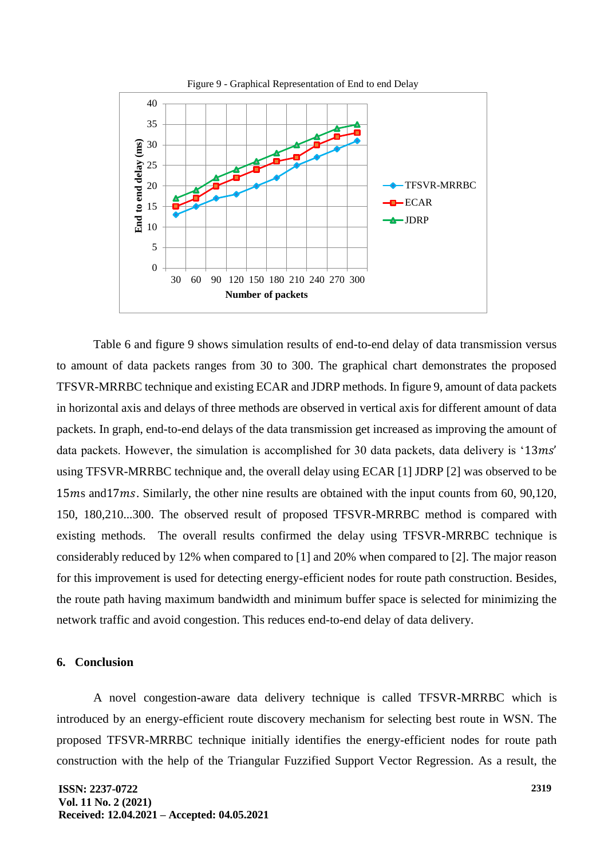

Table 6 and figure 9 shows simulation results of end-to-end delay of data transmission versus to amount of data packets ranges from 30 to 300. The graphical chart demonstrates the proposed TFSVR-MRRBC technique and existing ECAR and JDRP methods. In figure 9, amount of data packets in horizontal axis and delays of three methods are observed in vertical axis for different amount of data packets. In graph, end-to-end delays of the data transmission get increased as improving the amount of data packets. However, the simulation is accomplished for 30 data packets, data delivery is ' $13ms'$ using TFSVR-MRRBC technique and, the overall delay using ECAR [1] JDRP [2] was observed to be 15 *and17* $*ms*$ *. Similarly, the other nine results are obtained with the input counts from 60, 90,120,* 150, 180,210...300. The observed result of proposed TFSVR-MRRBC method is compared with existing methods. The overall results confirmed the delay using TFSVR-MRRBC technique is considerably reduced by 12% when compared to [1] and 20% when compared to [2]. The major reason for this improvement is used for detecting energy-efficient nodes for route path construction. Besides, the route path having maximum bandwidth and minimum buffer space is selected for minimizing the network traffic and avoid congestion. This reduces end-to-end delay of data delivery.

### **6. Conclusion**

A novel congestion-aware data delivery technique is called TFSVR-MRRBC which is introduced by an energy-efficient route discovery mechanism for selecting best route in WSN. The proposed TFSVR-MRRBC technique initially identifies the energy-efficient nodes for route path construction with the help of the Triangular Fuzzified Support Vector Regression. As a result, the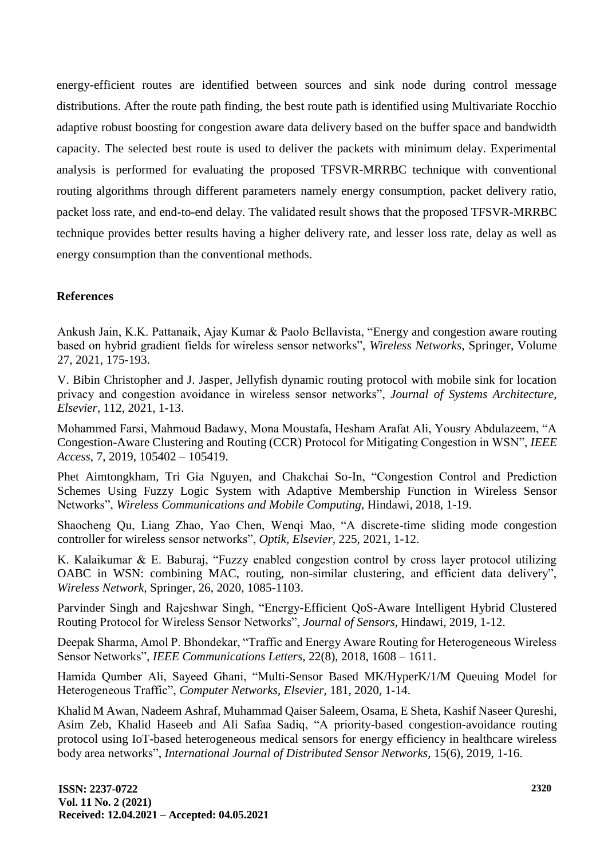energy-efficient routes are identified between sources and sink node during control message distributions. After the route path finding, the best route path is identified using Multivariate Rocchio adaptive robust boosting for congestion aware data delivery based on the buffer space and bandwidth capacity. The selected best route is used to deliver the packets with minimum delay. Experimental analysis is performed for evaluating the proposed TFSVR-MRRBC technique with conventional routing algorithms through different parameters namely energy consumption, packet delivery ratio, packet loss rate, and end-to-end delay. The validated result shows that the proposed TFSVR-MRRBC technique provides better results having a higher delivery rate, and lesser loss rate, delay as well as energy consumption than the conventional methods.

# **References**

Ankush Jain, K.K. Pattanaik, Ajay Kumar & Paolo Bellavista, "Energy and congestion aware routing based on hybrid gradient fields for wireless sensor networks", *Wireless Networks,* Springer, Volume 27, 2021, 175-193.

V. Bibin Christopher and J. Jasper, Jellyfish dynamic routing protocol with mobile sink for location privacy and congestion avoidance in wireless sensor networks", *Journal of Systems Architecture, Elsevier,* 112, 2021, 1-13.

Mohammed Farsi, Mahmoud Badawy, Mona Moustafa, Hesham Arafat Ali, Yousry Abdulazeem, "A Congestion-Aware Clustering and Routing (CCR) Protocol for Mitigating Congestion in WSN", *IEEE Access,* 7, 2019, 105402 – 105419.

Phet Aimtongkham, Tri Gia Nguyen, and Chakchai So-In, "Congestion Control and Prediction Schemes Using Fuzzy Logic System with Adaptive Membership Function in Wireless Sensor Networks", *Wireless Communications and Mobile Computing,* Hindawi, 2018, 1-19.

Shaocheng Qu, Liang Zhao, Yao Chen, Wenqi Mao, "A discrete-time sliding mode congestion controller for wireless sensor networks", *Optik, Elsevier,* 225, 2021, 1-12.

K. Kalaikumar & E. Baburaj, "Fuzzy enabled congestion control by cross layer protocol utilizing OABC in WSN: combining MAC, routing, non-similar clustering, and efficient data delivery", *Wireless Network,* Springer, 26, 2020, 1085-1103.

Parvinder Singh and Rajeshwar Singh, "Energy-Efficient QoS-Aware Intelligent Hybrid Clustered Routing Protocol for Wireless Sensor Networks", *Journal of Sensors,* Hindawi, 2019, 1-12.

Deepak Sharma, Amol P. Bhondekar, "Traffic and Energy Aware Routing for Heterogeneous Wireless Sensor Networks", *IEEE Communications Letters,* 22(8), 2018, 1608 – 1611.

Hamida Qumber Ali, Sayeed Ghani, "Multi-Sensor Based MK/HyperK/1/M Queuing Model for Heterogeneous Traffic", *Computer Networks, Elsevier,* 181, 2020, 1-14.

Khalid M Awan, Nadeem Ashraf, Muhammad Qaiser Saleem, Osama, E Sheta, Kashif Naseer Qureshi, Asim Zeb, Khalid Haseeb and Ali Safaa Sadiq, "A priority-based congestion-avoidance routing protocol using IoT-based heterogeneous medical sensors for energy efficiency in healthcare wireless body area networks", *International Journal of Distributed Sensor Networks,* 15(6), 2019, 1-16.